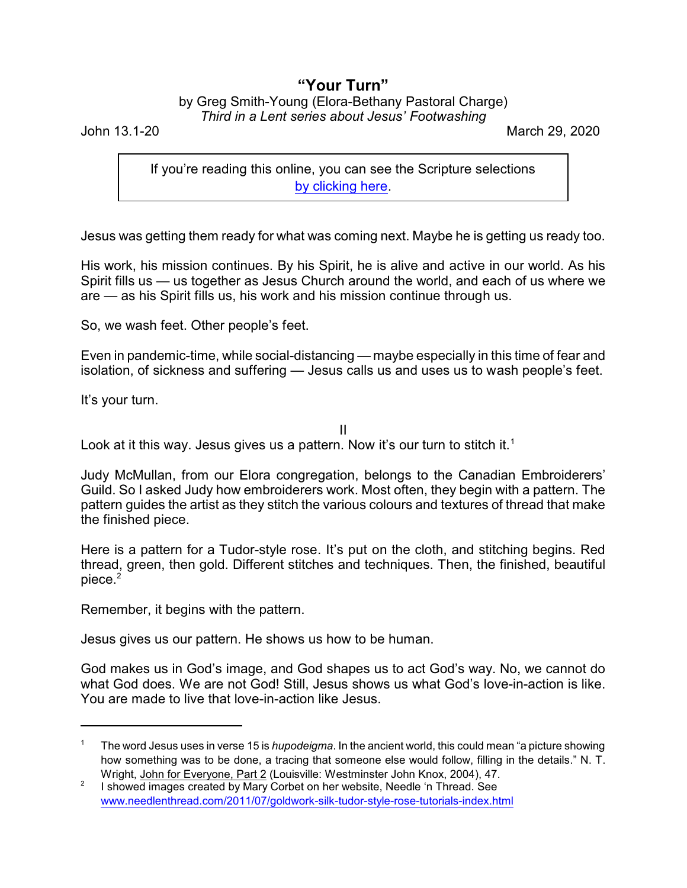## **"Your Turn"**

## by Greg Smith-Young (Elora-Bethany Pastoral Charge) *Third in a Lent series about Jesus' Footwashing*

John 13.1-20 March 29, 2020

If you're reading this online, you can see the Scripture selections [by clicking here](https://www.biblegateway.com/passage/?search=John+13.1-20&version=CEB).

Jesus was getting them ready for what was coming next. Maybe he is getting us ready too.

His work, his mission continues. By his Spirit, he is alive and active in our world. As his Spirit fills us — us together as Jesus Church around the world, and each of us where we are — as his Spirit fills us, his work and his mission continue through us.

So, we wash feet. Other people's feet.

Even in pandemic-time, while social-distancing — maybe especially in this time of fear and isolation, of sickness and suffering — Jesus calls us and uses us to wash people's feet.

It's your turn.

II

Look at it this way. Jesus gives us a pattern. Now it's our turn to stitch it.<sup>1</sup>

Judy McMullan, from our Elora congregation, belongs to the Canadian Embroiderers' Guild. So I asked Judy how embroiderers work. Most often, they begin with a pattern. The pattern guides the artist as they stitch the various colours and textures of thread that make the finished piece.

Here is a pattern for a Tudor-style rose. It's put on the cloth, and stitching begins. Red thread, green, then gold. Different stitches and techniques. Then, the finished, beautiful piece.<sup>2</sup>

Remember, it begins with the pattern.

Jesus gives us our pattern. He shows us how to be human.

God makes us in God's image, and God shapes us to act God's way. No, we cannot do what God does. We are not God! Still, Jesus shows us what God's love-in-action is like. You are made to live that love-in-action like Jesus.

<sup>1</sup> The word Jesus uses in verse 15 is *hupodeigma*. In the ancient world, this could mean "a picture showing how something was to be done, a tracing that someone else would follow, filling in the details." N. T. Wright, John for Everyone, Part 2 (Louisville: Westminster John Knox, 2004), 47.

<sup>2</sup> I showed images created by Mary Corbet on her website, Needle 'n Thread. See [www.needlenthread.com/2011/07/goldwork-silk-tudor-style-rose-tutorials-index.html](https://www.needlenthread.com/2011/07/goldwork-silk-tudor-style-rose-tutorials-index.html)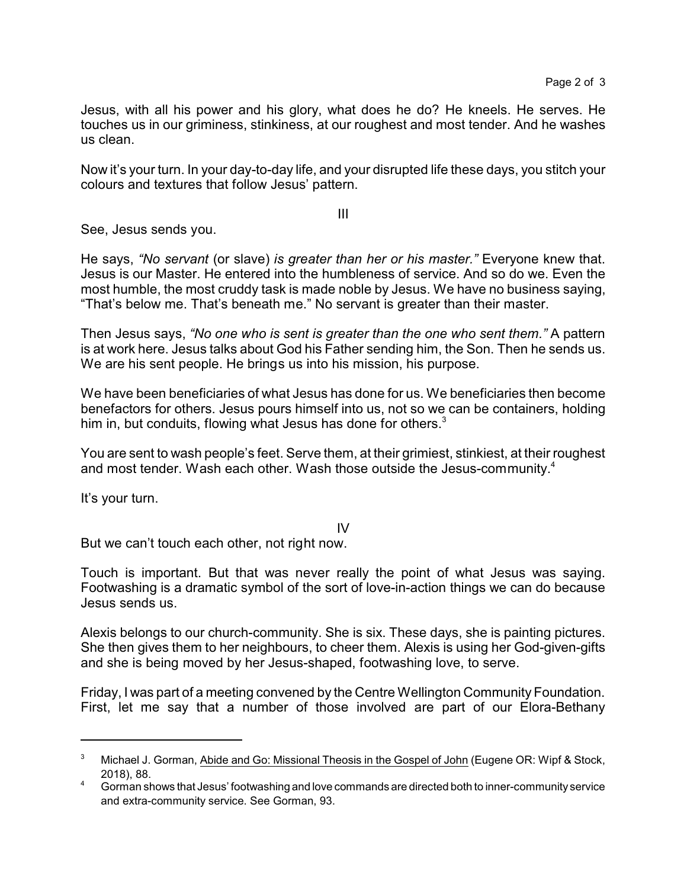Jesus, with all his power and his glory, what does he do? He kneels. He serves. He touches us in our griminess, stinkiness, at our roughest and most tender. And he washes us clean.

Now it's your turn. In your day-to-day life, and your disrupted life these days, you stitch your colours and textures that follow Jesus' pattern.

III

See, Jesus sends you.

He says, *"No servant* (or slave) *is greater than her or his master."* Everyone knew that. Jesus is our Master. He entered into the humbleness of service. And so do we. Even the most humble, the most cruddy task is made noble by Jesus. We have no business saying, "That's below me. That's beneath me." No servant is greater than their master.

Then Jesus says, *"No one who is sent is greater than the one who sent them."* A pattern is at work here. Jesus talks about God his Father sending him, the Son. Then he sends us. We are his sent people. He brings us into his mission, his purpose.

We have been beneficiaries of what Jesus has done for us. We beneficiaries then become benefactors for others. Jesus pours himself into us, not so we can be containers, holding him in, but conduits, flowing what Jesus has done for others.<sup>3</sup>

You are sent to wash people's feet. Serve them, at their grimiest, stinkiest, at their roughest and most tender. Wash each other. Wash those outside the Jesus-community. 4

It's your turn.

IV

But we can't touch each other, not right now.

Touch is important. But that was never really the point of what Jesus was saying. Footwashing is a dramatic symbol of the sort of love-in-action things we can do because Jesus sends us.

Alexis belongs to our church-community. She is six. These days, she is painting pictures. She then gives them to her neighbours, to cheer them. Alexis is using her God-given-gifts and she is being moved by her Jesus-shaped, footwashing love, to serve.

Friday, I was part of a meeting convened by the Centre Wellington Community Foundation. First, let me say that a number of those involved are part of our Elora-Bethany

<sup>&</sup>lt;sup>3</sup> Michael J. Gorman, Abide and Go: Missional Theosis in the Gospel of John (Eugene OR: Wipf & Stock, 2018), 88.

<sup>4</sup> Gorman shows that Jesus' footwashing and love commands are directed both to inner-community service and extra-community service. See Gorman, 93.